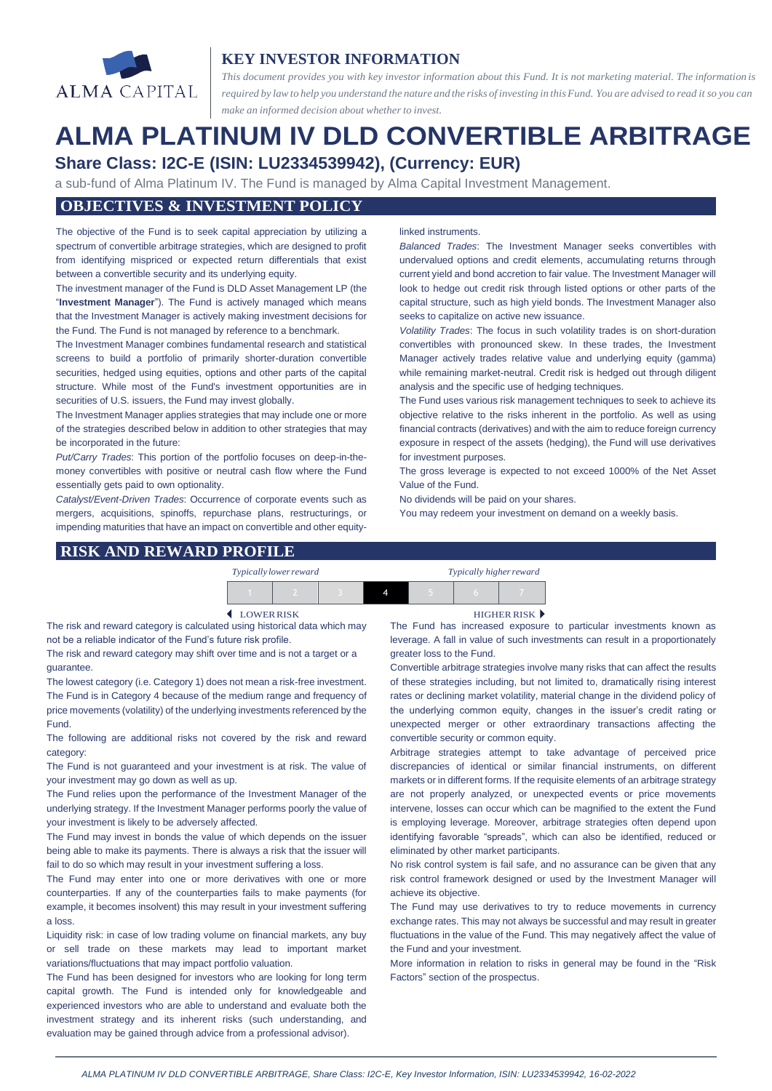

# **KEY INVESTOR INFORMATION**

*This document provides you with key investor information about this Fund. It is not marketing material. The information is* required by law to help you understand the nature and the risks of investing in this Fund. You are advised to read it so you can *make an informed decision about whether to invest.*

# **ALMA PLATINUM IV DLD CONVERTIBLE ARBITRAGE Share Class: I2C-E (ISIN: LU2334539942), (Currency: EUR)**

a sub-fund of Alma Platinum IV. The Fund is managed by Alma Capital Investment Management.

## **OBJECTIVES & INVESTMENT POLICY**

The objective of the Fund is to seek capital appreciation by utilizing a spectrum of convertible arbitrage strategies, which are designed to profit from identifying mispriced or expected return differentials that exist between a convertible security and its underlying equity.

The investment manager of the Fund is DLD Asset Management LP (the "**Investment Manager**"). The Fund is actively managed which means that the Investment Manager is actively making investment decisions for the Fund. The Fund is not managed by reference to a benchmark.

The Investment Manager combines fundamental research and statistical screens to build a portfolio of primarily shorter-duration convertible securities, hedged using equities, options and other parts of the capital structure. While most of the Fund's investment opportunities are in securities of U.S. issuers, the Fund may invest globally.

The Investment Manager applies strategies that may include one or more of the strategies described below in addition to other strategies that may be incorporated in the future:

*Put/Carry Trades*: This portion of the portfolio focuses on deep-in-themoney convertibles with positive or neutral cash flow where the Fund essentially gets paid to own optionality.

*Catalyst/Event-Driven Trades*: Occurrence of corporate events such as mergers, acquisitions, spinoffs, repurchase plans, restructurings, or impending maturities that have an impact on convertible and other equity-

#### linked instruments.

*Balanced Trades*: The Investment Manager seeks convertibles with undervalued options and credit elements, accumulating returns through current yield and bond accretion to fair value. The Investment Manager will look to hedge out credit risk through listed options or other parts of the capital structure, such as high yield bonds. The Investment Manager also seeks to capitalize on active new issuance.

*Volatility Trades*: The focus in such volatility trades is on short-duration convertibles with pronounced skew. In these trades, the Investment Manager actively trades relative value and underlying equity (gamma) while remaining market-neutral. Credit risk is hedged out through diligent analysis and the specific use of hedging techniques.

The Fund uses various risk management techniques to seek to achieve its objective relative to the risks inherent in the portfolio. As well as using financial contracts (derivatives) and with the aim to reduce foreign currency exposure in respect of the assets (hedging), the Fund will use derivatives for investment purposes.

The gross leverage is expected to not exceed 1000% of the Net Asset Value of the Fund.

No dividends will be paid on your shares.

You may redeem your investment on demand on a weekly basis.

#### **RISK AND REWARD PROFILE**

| Typically lower reward |  | Typically higher reward |  |  |  |
|------------------------|--|-------------------------|--|--|--|
|                        |  |                         |  |  |  |

The risk and reward category is calculated using historical data which may not be a reliable indicator of the Fund's future risk profile.

The risk and reward category may shift over time and is not a target or a guarantee.

The lowest category (i.e. Category 1) does not mean a risk-free investment. The Fund is in Category 4 because of the medium range and frequency of price movements (volatility) of the underlying investments referenced by the Fund.

The following are additional risks not covered by the risk and reward category:

The Fund is not guaranteed and your investment is at risk. The value of your investment may go down as well as up.

The Fund relies upon the performance of the Investment Manager of the underlying strategy. If the Investment Manager performs poorly the value of your investment is likely to be adversely affected.

The Fund may invest in bonds the value of which depends on the issuer being able to make its payments. There is always a risk that the issuer will fail to do so which may result in your investment suffering a loss.

The Fund may enter into one or more derivatives with one or more counterparties. If any of the counterparties fails to make payments (for example, it becomes insolvent) this may result in your investment suffering a loss.

Liquidity risk: in case of low trading volume on financial markets, any buy or sell trade on these markets may lead to important market variations/fluctuations that may impact portfolio valuation.

The Fund has been designed for investors who are looking for long term capital growth. The Fund is intended only for knowledgeable and experienced investors who are able to understand and evaluate both the investment strategy and its inherent risks (such understanding, and evaluation may be gained through advice from a professional advisor).

LOWERRISK HIGHER RISK

The Fund has increased exposure to particular investments known as leverage. A fall in value of such investments can result in a proportionately greater loss to the Fund.

Convertible arbitrage strategies involve many risks that can affect the results of these strategies including, but not limited to, dramatically rising interest rates or declining market volatility, material change in the dividend policy of the underlying common equity, changes in the issuer's credit rating or unexpected merger or other extraordinary transactions affecting the convertible security or common equity.

Arbitrage strategies attempt to take advantage of perceived price discrepancies of identical or similar financial instruments, on different markets or in different forms. If the requisite elements of an arbitrage strategy are not properly analyzed, or unexpected events or price movements intervene, losses can occur which can be magnified to the extent the Fund is employing leverage. Moreover, arbitrage strategies often depend upon identifying favorable "spreads", which can also be identified, reduced or eliminated by other market participants.

No risk control system is fail safe, and no assurance can be given that any risk control framework designed or used by the Investment Manager will achieve its objective.

The Fund may use derivatives to try to reduce movements in currency exchange rates. This may not always be successful and may result in greater fluctuations in the value of the Fund. This may negatively affect the value of the Fund and your investment.

More information in relation to risks in general may be found in the "Risk Factors" section of the prospectus.